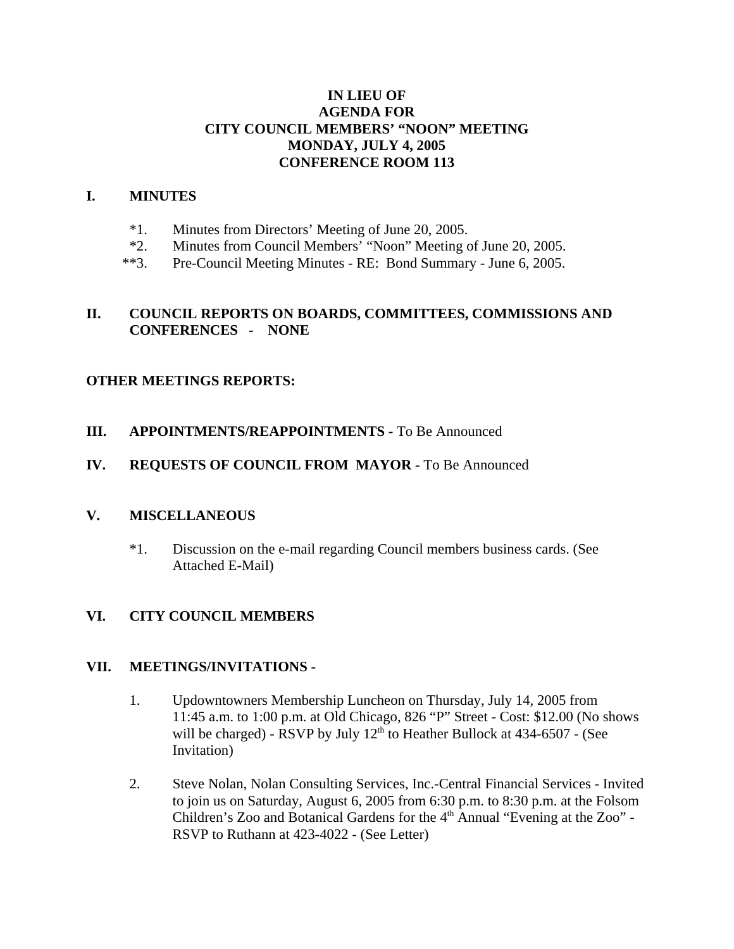## **IN LIEU OF AGENDA FOR CITY COUNCIL MEMBERS' "NOON" MEETING MONDAY, JULY 4, 2005 CONFERENCE ROOM 113**

#### **I. MINUTES**

- \*1. Minutes from Directors' Meeting of June 20, 2005.
- \*2. Minutes from Council Members' "Noon" Meeting of June 20, 2005.
- \*\*3. Pre-Council Meeting Minutes RE: Bond Summary June 6, 2005.

## **II. COUNCIL REPORTS ON BOARDS, COMMITTEES, COMMISSIONS AND CONFERENCES - NONE**

## **OTHER MEETINGS REPORTS:**

- **III.** APPOINTMENTS/REAPPOINTMENTS To Be Announced
- **IV. REQUESTS OF COUNCIL FROM MAYOR -** To Be Announced

## **V. MISCELLANEOUS**

\*1. Discussion on the e-mail regarding Council members business cards. (See Attached E-Mail)

## **VI. CITY COUNCIL MEMBERS**

#### **VII. MEETINGS/INVITATIONS -**

- 1. Updowntowners Membership Luncheon on Thursday, July 14, 2005 from 11:45 a.m. to 1:00 p.m. at Old Chicago, 826 "P" Street - Cost: \$12.00 (No shows will be charged) - RSVP by July  $12<sup>th</sup>$  to Heather Bullock at 434-6507 - (See Invitation)
- 2. Steve Nolan, Nolan Consulting Services, Inc.-Central Financial Services Invited to join us on Saturday, August 6, 2005 from 6:30 p.m. to 8:30 p.m. at the Folsom Children's Zoo and Botanical Gardens for the  $4<sup>th</sup>$  Annual "Evening at the Zoo" -RSVP to Ruthann at 423-4022 - (See Letter)